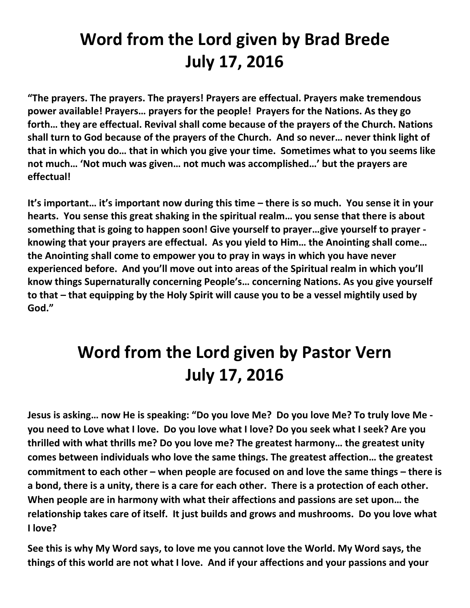## **Word from the Lord given by Brad Brede July 17, 2016**

**"The prayers. The prayers. The prayers! Prayers are effectual. Prayers make tremendous power available! Prayers… prayers for the people! Prayers for the Nations. As they go forth… they are effectual. Revival shall come because of the prayers of the Church. Nations shall turn to God because of the prayers of the Church. And so never… never think light of that in which you do… that in which you give your time. Sometimes what to you seems like not much… 'Not much was given… not much was accomplished…' but the prayers are effectual!**

**It's important… it's important now during this time – there is so much. You sense it in your hearts. You sense this great shaking in the spiritual realm… you sense that there is about something that is going to happen soon! Give yourself to prayer…give yourself to prayer knowing that your prayers are effectual. As you yield to Him… the Anointing shall come… the Anointing shall come to empower you to pray in ways in which you have never experienced before. And you'll move out into areas of the Spiritual realm in which you'll know things Supernaturally concerning People's… concerning Nations. As you give yourself to that – that equipping by the Holy Spirit will cause you to be a vessel mightily used by God."**

## **Word from the Lord given by Pastor Vern July 17, 2016**

**Jesus is asking… now He is speaking: "Do you love Me? Do you love Me? To truly love Me you need to Love what I love. Do you love what I love? Do you seek what I seek? Are you thrilled with what thrills me? Do you love me? The greatest harmony… the greatest unity comes between individuals who love the same things. The greatest affection… the greatest commitment to each other – when people are focused on and love the same things – there is a bond, there is a unity, there is a care for each other. There is a protection of each other. When people are in harmony with what their affections and passions are set upon… the relationship takes care of itself. It just builds and grows and mushrooms. Do you love what I love?** 

**See this is why My Word says, to love me you cannot love the World. My Word says, the things of this world are not what I love. And if your affections and your passions and your**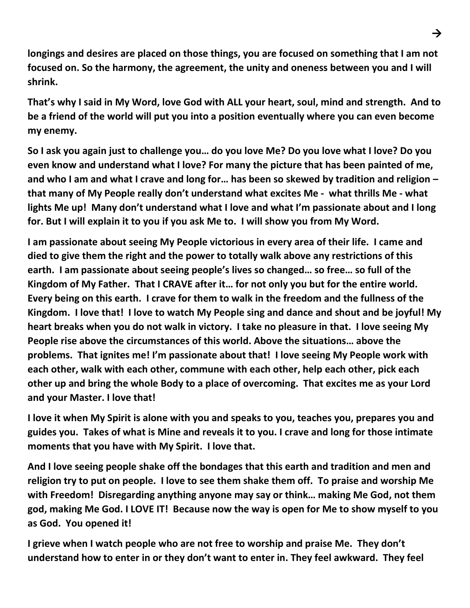**longings and desires are placed on those things, you are focused on something that I am not focused on. So the harmony, the agreement, the unity and oneness between you and I will shrink.** 

**That's why I said in My Word, love God with ALL your heart, soul, mind and strength. And to be a friend of the world will put you into a position eventually where you can even become my enemy.** 

**So I ask you again just to challenge you… do you love Me? Do you love what I love? Do you even know and understand what I love? For many the picture that has been painted of me, and who I am and what I crave and long for… has been so skewed by tradition and religion – that many of My People really don't understand what excites Me - what thrills Me - what lights Me up! Many don't understand what I love and what I'm passionate about and I long for. But I will explain it to you if you ask Me to. I will show you from My Word.** 

**I am passionate about seeing My People victorious in every area of their life. I came and died to give them the right and the power to totally walk above any restrictions of this earth. I am passionate about seeing people's lives so changed… so free… so full of the Kingdom of My Father. That I CRAVE after it… for not only you but for the entire world. Every being on this earth. I crave for them to walk in the freedom and the fullness of the Kingdom. I love that! I love to watch My People sing and dance and shout and be joyful! My heart breaks when you do not walk in victory. I take no pleasure in that. I love seeing My People rise above the circumstances of this world. Above the situations… above the problems. That ignites me! I'm passionate about that! I love seeing My People work with each other, walk with each other, commune with each other, help each other, pick each other up and bring the whole Body to a place of overcoming. That excites me as your Lord and your Master. I love that!** 

**I love it when My Spirit is alone with you and speaks to you, teaches you, prepares you and guides you. Takes of what is Mine and reveals it to you. I crave and long for those intimate moments that you have with My Spirit. I love that.** 

**And I love seeing people shake off the bondages that this earth and tradition and men and religion try to put on people. I love to see them shake them off. To praise and worship Me with Freedom! Disregarding anything anyone may say or think… making Me God, not them god, making Me God. I LOVE IT! Because now the way is open for Me to show myself to you as God. You opened it!** 

**I grieve when I watch people who are not free to worship and praise Me. They don't understand how to enter in or they don't want to enter in. They feel awkward. They feel**